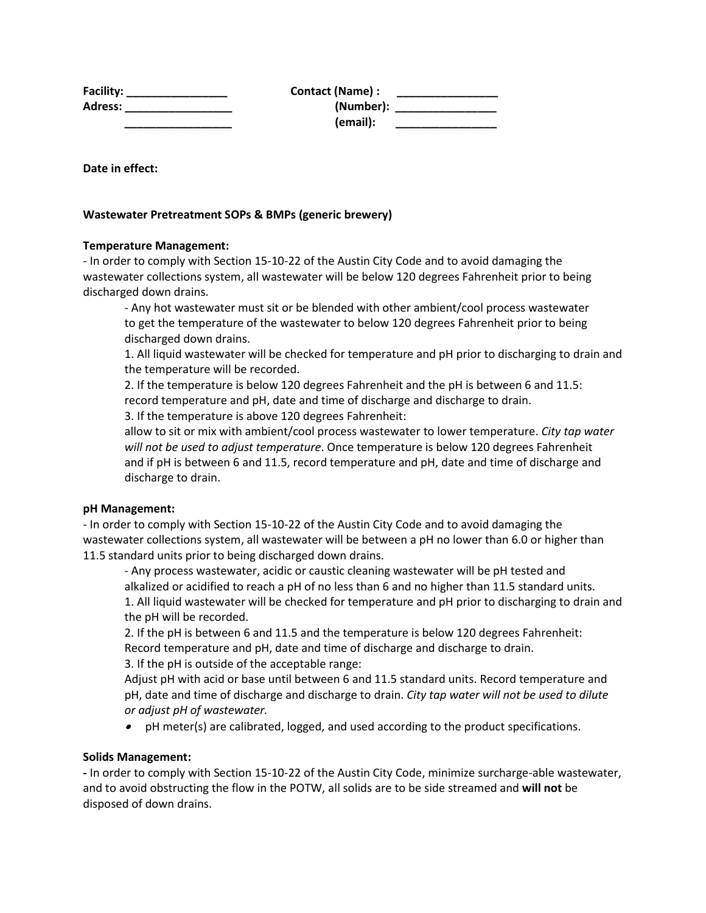| Facility:      | Contact (Name) : |  |
|----------------|------------------|--|
| <b>Adress:</b> | (Number):        |  |
|                | (email):         |  |

**Date in effect:**

## **Wastewater Pretreatment SOPs & BMPs (generic brewery)**

### **Temperature Management:**

- In order to comply with Section 15-10-22 of the Austin City Code and to avoid damaging the wastewater collections system, all wastewater will be below 120 degrees Fahrenheit prior to being discharged down drains.

- Any hot wastewater must sit or be blended with other ambient/cool process wastewater to get the temperature of the wastewater to below 120 degrees Fahrenheit prior to being discharged down drains.

1. All liquid wastewater will be checked for temperature and pH prior to discharging to drain and the temperature will be recorded.

2. If the temperature is below 120 degrees Fahrenheit and the pH is between 6 and 11.5: record temperature and pH, date and time of discharge and discharge to drain.

3. If the temperature is above 120 degrees Fahrenheit:

allow to sit or mix with ambient/cool process wastewater to lower temperature. *City tap water will not be used to adjust temperature*. Once temperature is below 120 degrees Fahrenheit and if pH is between 6 and 11.5, record temperature and pH, date and time of discharge and discharge to drain.

### **pH Management:**

- In order to comply with Section 15-10-22 of the Austin City Code and to avoid damaging the wastewater collections system, all wastewater will be between a pH no lower than 6.0 or higher than 11.5 standard units prior to being discharged down drains.

- Any process wastewater, acidic or caustic cleaning wastewater will be pH tested and alkalized or acidified to reach a pH of no less than 6 and no higher than 11.5 standard units. 1. All liquid wastewater will be checked for temperature and pH prior to discharging to drain and the pH will be recorded.

2. If the pH is between 6 and 11.5 and the temperature is below 120 degrees Fahrenheit: Record temperature and pH, date and time of discharge and discharge to drain. 3. If the pH is outside of the acceptable range:

Adjust pH with acid or base until between 6 and 11.5 standard units. Record temperature and pH, date and time of discharge and discharge to drain. *City tap water will not be used to dilute* 

*or adjust pH of wastewater.*

• pH meter(s) are calibrated, logged, and used according to the product specifications.

# **Solids Management:**

**-** In order to comply with Section 15-10-22 of the Austin City Code, minimize surcharge-able wastewater, and to avoid obstructing the flow in the POTW, all solids are to be side streamed and **will not** be disposed of down drains.